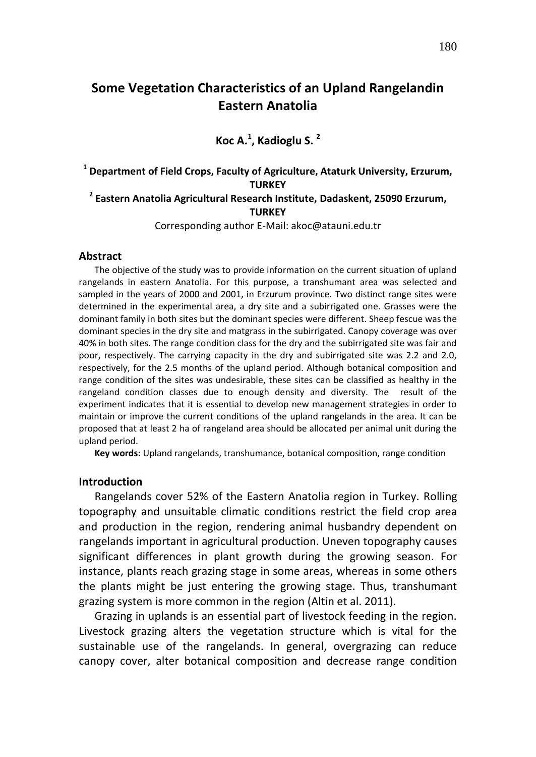# **Some Vegetation Characteristics of an Upland Rangelandin Eastern Anatolia**

## **Koc A. 1 , Kadioglu S. 2**

## **1 Department of Field Crops, Faculty of Agriculture, Ataturk University, Erzurum, TURKEY 2 Eastern Anatolia Agricultural Research Institute, Dadaskent, 25090 Erzurum, TURKEY**

#### Corresponding author E-Mail: akoc@atauni.edu.tr

## **Abstract**

The objective of the study was to provide information on the current situation of upland rangelands in eastern Anatolia. For this purpose, a transhumant area was selected and sampled in the years of 2000 and 2001, in Erzurum province. Two distinct range sites were determined in the experimental area, a dry site and a subirrigated one. Grasses were the dominant family in both sites but the dominant species were different. Sheep fescue was the dominant species in the dry site and matgrass in the subirrigated. Canopy coverage was over 40% in both sites. The range condition class for the dry and the subirrigated site was fair and poor, respectively. The carrying capacity in the dry and subirrigated site was 2.2 and 2.0, respectively, for the 2.5 months of the upland period. Although botanical composition and range condition of the sites was undesirable, these sites can be classified as healthy in the rangeland condition classes due to enough density and diversity. The result of the experiment indicates that it is essential to develop new management strategies in order to maintain or improve the current conditions of the upland rangelands in the area. It can be proposed that at least 2 ha of rangeland area should be allocated per animal unit during the upland period.

**Key words:** Upland rangelands, transhumance, botanical composition, range condition

#### **Introduction**

Rangelands cover 52% of the Eastern Anatolia region in Turkey. Rolling topography and unsuitable climatic conditions restrict the field crop area and production in the region, rendering animal husbandry dependent on rangelands important in agricultural production. Uneven topography causes significant differences in plant growth during the growing season. For instance, plants reach grazing stage in some areas, whereas in some others the plants might be just entering the growing stage. Thus, transhumant grazing system is more common in the region (Altin et al. 2011).

Grazing in uplands is an essential part of livestock feeding in the region. Livestock grazing alters the vegetation structure which is vital for the sustainable use of the rangelands. In general, overgrazing can reduce canopy cover, alter botanical composition and decrease range condition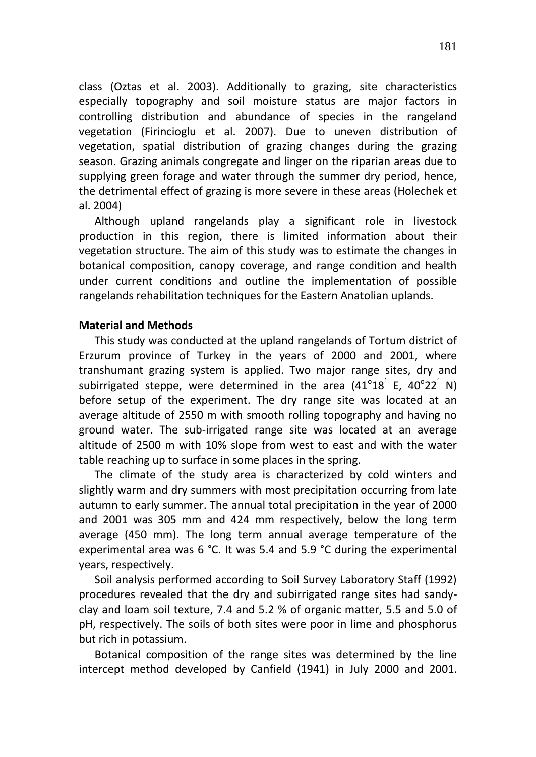class (Oztas et al. 2003). Additionally to grazing, site characteristics especially topography and soil moisture status are major factors in controlling distribution and abundance of species in the rangeland vegetation (Firincioglu et al. 2007). Due to uneven distribution of vegetation, spatial distribution of grazing changes during the grazing season. Grazing animals congregate and linger on the riparian areas due to supplying green forage and water through the summer dry period, hence, the detrimental effect of grazing is more severe in these areas (Holechek et al. 2004)

Although upland rangelands play a significant role in livestock production in this region, there is limited information about their vegetation structure. The aim of this study was to estimate the changes in botanical composition, canopy coverage, and range condition and health under current conditions and outline the implementation of possible rangelands rehabilitation techniques for the Eastern Anatolian uplands.

### **Material and Methods**

This study was conducted at the upland rangelands of Tortum district of Erzurum province of Turkey in the years of 2000 and 2001, where transhumant grazing system is applied. Two major range sites, dry and subirrigated steppe, were determined in the area  $(41^{\circ}18^{\circ}$  E,  $40^{\circ}22^{\circ}$  N) before setup of the experiment. The dry range site was located at an average altitude of 2550 m with smooth rolling topography and having no ground water. The sub-irrigated range site was located at an average altitude of 2500 m with 10% slope from west to east and with the water table reaching up to surface in some places in the spring.

The climate of the study area is characterized by cold winters and slightly warm and dry summers with most precipitation occurring from late autumn to early summer. The annual total precipitation in the year of 2000 and 2001 was 305 mm and 424 mm respectively, below the long term average (450 mm). The long term annual average temperature of the experimental area was 6 °C. It was 5.4 and 5.9 °C during the experimental years, respectively.

Soil analysis performed according to Soil Survey Laboratory Staff (1992) procedures revealed that the dry and subirrigated range sites had sandyclay and loam soil texture, 7.4 and 5.2 % of organic matter, 5.5 and 5.0 of pH, respectively. The soils of both sites were poor in lime and phosphorus but rich in potassium.

Botanical composition of the range sites was determined by the line intercept method developed by Canfield (1941) in July 2000 and 2001.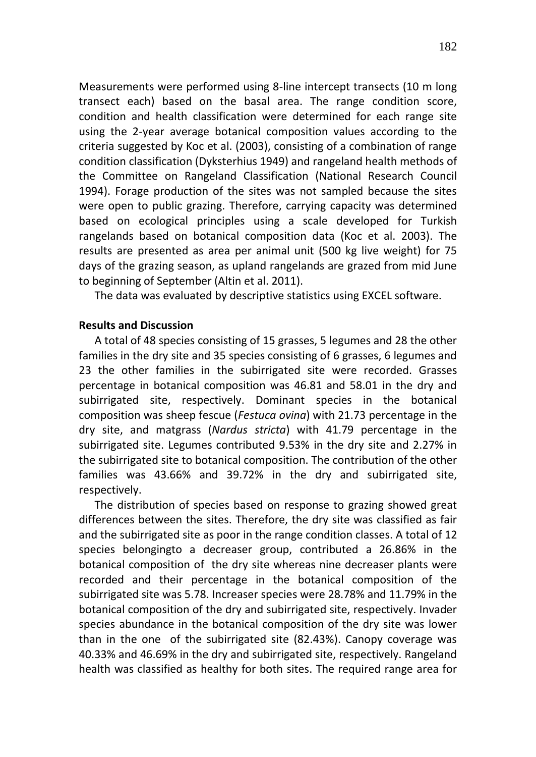Measurements were performed using 8-line intercept transects (10 m long transect each) based on the basal area. The range condition score, condition and health classification were determined for each range site using the 2-year average botanical composition values according to the criteria suggested by Koc et al. (2003), consisting of a combination of range condition classification (Dyksterhius 1949) and rangeland health methods of the Committee on Rangeland Classification (National Research Council 1994). Forage production of the sites was not sampled because the sites were open to public grazing. Therefore, carrying capacity was determined based on ecological principles using a scale developed for Turkish rangelands based on botanical composition data (Koc et al. 2003). The results are presented as area per animal unit (500 kg live weight) for 75 days of the grazing season, as upland rangelands are grazed from mid June to beginning of September (Altin et al. 2011).

The data was evaluated by descriptive statistics using EXCEL software.

## **Results and Discussion**

A total of 48 species consisting of 15 grasses, 5 legumes and 28 the other families in the dry site and 35 species consisting of 6 grasses, 6 legumes and 23 the other families in the subirrigated site were recorded. Grasses percentage in botanical composition was 46.81 and 58.01 in the dry and subirrigated site, respectively. Dominant species in the botanical composition was sheep fescue (*Festuca ovina*) with 21.73 percentage in the dry site, and matgrass (*Nardus stricta*) with 41.79 percentage in the subirrigated site. Legumes contributed 9.53% in the dry site and 2.27% in the subirrigated site to botanical composition. The contribution of the other families was 43.66% and 39.72% in the dry and subirrigated site, respectively.

The distribution of species based on response to grazing showed great differences between the sites. Therefore, the dry site was classified as fair and the subirrigated site as poor in the range condition classes. A total of 12 species belongingto a decreaser group, contributed a 26.86% in the botanical composition of the dry site whereas nine decreaser plants were recorded and their percentage in the botanical composition of the subirrigated site was 5.78. Increaser species were 28.78% and 11.79% in the botanical composition of the dry and subirrigated site, respectively. Invader species abundance in the botanical composition of the dry site was lower than in the one of the subirrigated site (82.43%). Canopy coverage was 40.33% and 46.69% in the dry and subirrigated site, respectively. Rangeland health was classified as healthy for both sites. The required range area for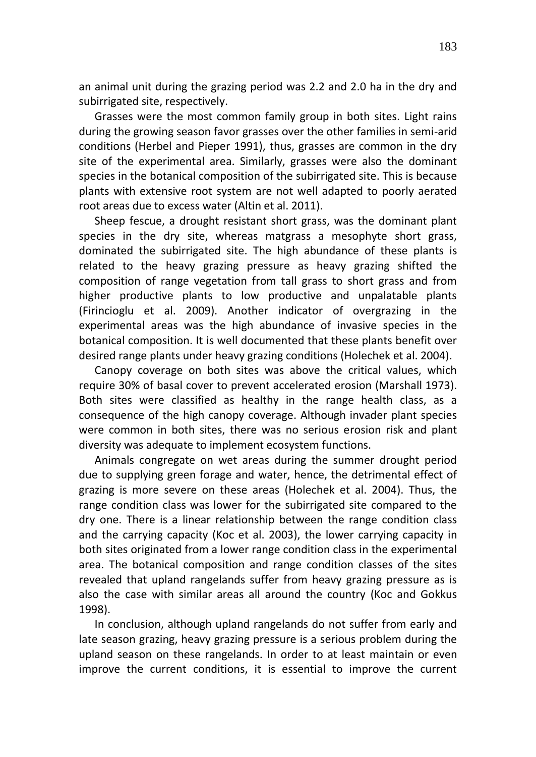an animal unit during the grazing period was 2.2 and 2.0 ha in the dry and subirrigated site, respectively.

Grasses were the most common family group in both sites. Light rains during the growing season favor grasses over the other families in semi-arid conditions (Herbel and Pieper 1991), thus, grasses are common in the dry site of the experimental area. Similarly, grasses were also the dominant species in the botanical composition of the subirrigated site. This is because plants with extensive root system are not well adapted to poorly aerated root areas due to excess water (Altin et al. 2011).

Sheep fescue, a drought resistant short grass, was the dominant plant species in the dry site, whereas matgrass a mesophyte short grass, dominated the subirrigated site. The high abundance of these plants is related to the heavy grazing pressure as heavy grazing shifted the composition of range vegetation from tall grass to short grass and from higher productive plants to low productive and unpalatable plants (Firincioglu et al. 2009). Another indicator of overgrazing in the experimental areas was the high abundance of invasive species in the botanical composition. It is well documented that these plants benefit over desired range plants under heavy grazing conditions (Holechek et al. 2004).

Canopy coverage on both sites was above the critical values, which require 30% of basal cover to prevent accelerated erosion (Marshall 1973). Both sites were classified as healthy in the range health class, as a consequence of the high canopy coverage. Although invader plant species were common in both sites, there was no serious erosion risk and plant diversity was adequate to implement ecosystem functions.

Animals congregate on wet areas during the summer drought period due to supplying green forage and water, hence, the detrimental effect of grazing is more severe on these areas (Holechek et al. 2004). Thus, the range condition class was lower for the subirrigated site compared to the dry one. There is a linear relationship between the range condition class and the carrying capacity (Koc et al. 2003), the lower carrying capacity in both sites originated from a lower range condition class in the experimental area. The botanical composition and range condition classes of the sites revealed that upland rangelands suffer from heavy grazing pressure as is also the case with similar areas all around the country (Koc and Gokkus 1998).

In conclusion, although upland rangelands do not suffer from early and late season grazing, heavy grazing pressure is a serious problem during the upland season on these rangelands. In order to at least maintain or even improve the current conditions, it is essential to improve the current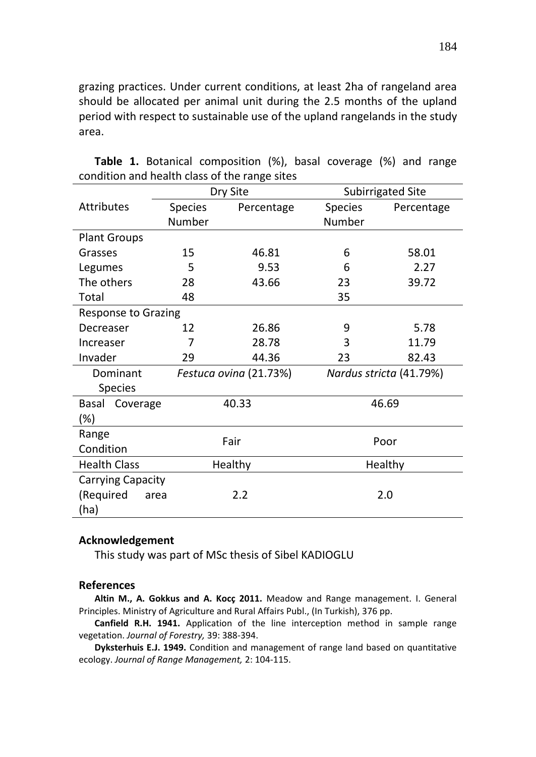grazing practices. Under current conditions, at least 2ha of rangeland area should be allocated per animal unit during the 2.5 months of the upland period with respect to sustainable use of the upland rangelands in the study area.

|                            |         | Dry Site               |     | <b>Subirrigated Site</b> |  |  |  |  |
|----------------------------|---------|------------------------|-----|--------------------------|--|--|--|--|
| Attributes                 | Species | Percentage             |     | Percentage               |  |  |  |  |
|                            | Number  |                        |     |                          |  |  |  |  |
| <b>Plant Groups</b>        |         |                        |     |                          |  |  |  |  |
| Grasses                    | 15      | 46.81                  | 6   | 58.01                    |  |  |  |  |
| Legumes                    | 5       | 9.53                   | 6   | 2.27                     |  |  |  |  |
| The others                 | 28      | 43.66                  | 23  | 39.72                    |  |  |  |  |
| Total                      | 48      |                        | 35  |                          |  |  |  |  |
| <b>Response to Grazing</b> |         |                        |     |                          |  |  |  |  |
| Decreaser                  | 12      | 26.86                  | 9   | 5.78                     |  |  |  |  |
| Increaser                  | 7       | 28.78                  | 3   | 11.79                    |  |  |  |  |
| Invader                    | 29      | 44.36                  | 23  | 82.43                    |  |  |  |  |
| Dominant                   |         | Festuca ovina (21.73%) |     | Nardus stricta (41.79%)  |  |  |  |  |
| <b>Species</b>             |         |                        |     |                          |  |  |  |  |
| Basal<br>Coverage          |         | 40.33                  |     | 46.69                    |  |  |  |  |
| (%)                        |         |                        |     |                          |  |  |  |  |
| Range                      |         | Fair                   |     | Poor                     |  |  |  |  |
| Condition                  |         |                        |     |                          |  |  |  |  |
| <b>Health Class</b>        |         | Healthy                |     | Healthy                  |  |  |  |  |
| <b>Carrying Capacity</b>   |         |                        |     |                          |  |  |  |  |
| (Required<br>area          |         | 2.2                    | 2.0 |                          |  |  |  |  |
| (ha)                       |         |                        |     |                          |  |  |  |  |

|                                               |  | <b>Table 1.</b> Botanical composition (%), basal coverage (%) and range |  |  |  |  |  |  |
|-----------------------------------------------|--|-------------------------------------------------------------------------|--|--|--|--|--|--|
| condition and health class of the range sites |  |                                                                         |  |  |  |  |  |  |

## **Acknowledgement**

This study was part of MSc thesis of Sibel KADIOGLU

### **References**

**Altin M., A. Gokkus and A. Kocç 2011.** Meadow and Range management. I. General Principles. Ministry of Agriculture and Rural Affairs Publ., (In Turkish), 376 pp.

**Canfield R.H. 1941.** Application of the line interception method in sample range vegetation. *Journal of Forestry,* 39: 388-394.

**Dyksterhuis E.J. 1949.** Condition and management of range land based on quantitative ecology. *Journal of Range Management,* 2: 104-115.